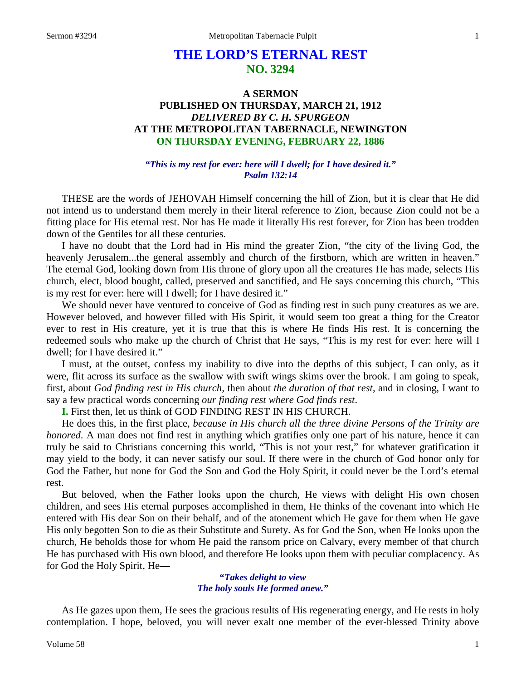# **THE LORD'S ETERNAL REST NO. 3294**

# **A SERMON PUBLISHED ON THURSDAY, MARCH 21, 1912** *DELIVERED BY C. H. SPURGEON* **AT THE METROPOLITAN TABERNACLE, NEWINGTON ON THURSDAY EVENING, FEBRUARY 22, 1886**

#### *"This is my rest for ever: here will I dwell; for I have desired it." Psalm 132:14*

THESE are the words of JEHOVAH Himself concerning the hill of Zion, but it is clear that He did not intend us to understand them merely in their literal reference to Zion, because Zion could not be a fitting place for His eternal rest. Nor has He made it literally His rest forever, for Zion has been trodden down of the Gentiles for all these centuries.

I have no doubt that the Lord had in His mind the greater Zion, "the city of the living God, the heavenly Jerusalem...the general assembly and church of the firstborn, which are written in heaven." The eternal God, looking down from His throne of glory upon all the creatures He has made, selects His church, elect, blood bought, called, preserved and sanctified, and He says concerning this church, "This is my rest for ever: here will I dwell; for I have desired it."

We should never have ventured to conceive of God as finding rest in such puny creatures as we are. However beloved, and however filled with His Spirit, it would seem too great a thing for the Creator ever to rest in His creature, yet it is true that this is where He finds His rest. It is concerning the redeemed souls who make up the church of Christ that He says, "This is my rest for ever: here will I dwell; for I have desired it."

I must, at the outset, confess my inability to dive into the depths of this subject, I can only, as it were, flit across its surface as the swallow with swift wings skims over the brook. I am going to speak, first, about *God finding rest in His church,* then about *the duration of that rest,* and in closing, I want to say a few practical words concerning *our finding rest where God finds rest*.

**I.** First then, let us think of GOD FINDING REST IN HIS CHURCH.

He does this, in the first place, *because in His church all the three divine Persons of the Trinity are honored*. A man does not find rest in anything which gratifies only one part of his nature, hence it can truly be said to Christians concerning this world, "This is not your rest," for whatever gratification it may yield to the body, it can never satisfy our soul. If there were in the church of God honor only for God the Father, but none for God the Son and God the Holy Spirit, it could never be the Lord's eternal rest.

But beloved, when the Father looks upon the church, He views with delight His own chosen children, and sees His eternal purposes accomplished in them, He thinks of the covenant into which He entered with His dear Son on their behalf, and of the atonement which He gave for them when He gave His only begotten Son to die as their Substitute and Surety. As for God the Son, when He looks upon the church, He beholds those for whom He paid the ransom price on Calvary, every member of that church He has purchased with His own blood, and therefore He looks upon them with peculiar complacency. As for God the Holy Spirit, He**—**

> **"***Takes delight to view The holy souls He formed anew."*

As He gazes upon them, He sees the gracious results of His regenerating energy, and He rests in holy contemplation. I hope, beloved, you will never exalt one member of the ever-blessed Trinity above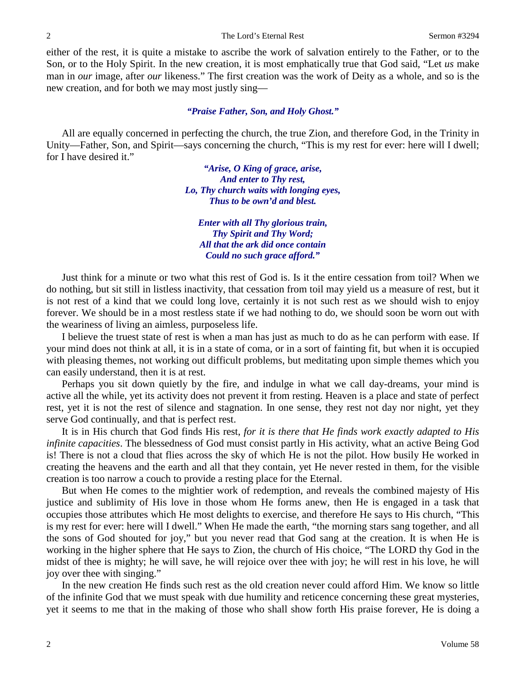either of the rest, it is quite a mistake to ascribe the work of salvation entirely to the Father, or to the Son, or to the Holy Spirit. In the new creation, it is most emphatically true that God said, "Let *us* make man in *our* image, after *our* likeness." The first creation was the work of Deity as a whole, and so is the new creation, and for both we may most justly sing—

#### *"Praise Father, Son, and Holy Ghost."*

All are equally concerned in perfecting the church, the true Zion, and therefore God, in the Trinity in Unity—Father, Son, and Spirit—says concerning the church, "This is my rest for ever: here will I dwell; for I have desired it."

> *"Arise, O King of grace, arise, And enter to Thy rest, Lo, Thy church waits with longing eyes, Thus to be own'd and blest.*

*Enter with all Thy glorious train, Thy Spirit and Thy Word; All that the ark did once contain Could no such grace afford."*

Just think for a minute or two what this rest of God is. Is it the entire cessation from toil? When we do nothing, but sit still in listless inactivity, that cessation from toil may yield us a measure of rest, but it is not rest of a kind that we could long love, certainly it is not such rest as we should wish to enjoy forever. We should be in a most restless state if we had nothing to do, we should soon be worn out with the weariness of living an aimless, purposeless life.

I believe the truest state of rest is when a man has just as much to do as he can perform with ease. If your mind does not think at all, it is in a state of coma, or in a sort of fainting fit, but when it is occupied with pleasing themes, not working out difficult problems, but meditating upon simple themes which you can easily understand, then it is at rest.

Perhaps you sit down quietly by the fire, and indulge in what we call day-dreams, your mind is active all the while, yet its activity does not prevent it from resting. Heaven is a place and state of perfect rest, yet it is not the rest of silence and stagnation. In one sense, they rest not day nor night, yet they serve God continually, and that is perfect rest.

It is in His church that God finds His rest, *for it is there that He finds work exactly adapted to His infinite capacities*. The blessedness of God must consist partly in His activity, what an active Being God is! There is not a cloud that flies across the sky of which He is not the pilot. How busily He worked in creating the heavens and the earth and all that they contain, yet He never rested in them, for the visible creation is too narrow a couch to provide a resting place for the Eternal.

But when He comes to the mightier work of redemption, and reveals the combined majesty of His justice and sublimity of His love in those whom He forms anew, then He is engaged in a task that occupies those attributes which He most delights to exercise, and therefore He says to His church, "This is my rest for ever: here will I dwell." When He made the earth, "the morning stars sang together, and all the sons of God shouted for joy," but you never read that God sang at the creation. It is when He is working in the higher sphere that He says to Zion, the church of His choice, "The LORD thy God in the midst of thee is mighty; he will save, he will rejoice over thee with joy; he will rest in his love, he will joy over thee with singing."

In the new creation He finds such rest as the old creation never could afford Him. We know so little of the infinite God that we must speak with due humility and reticence concerning these great mysteries, yet it seems to me that in the making of those who shall show forth His praise forever, He is doing a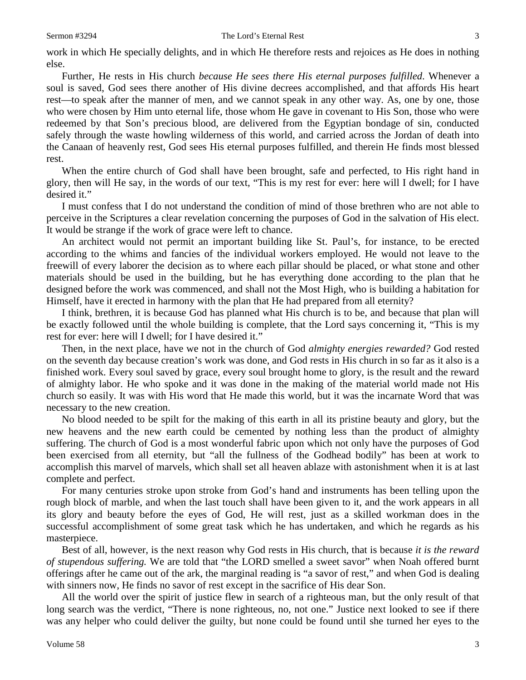work in which He specially delights, and in which He therefore rests and rejoices as He does in nothing else.

Further, He rests in His church *because He sees there His eternal purposes fulfilled*. Whenever a soul is saved, God sees there another of His divine decrees accomplished, and that affords His heart rest—to speak after the manner of men, and we cannot speak in any other way. As, one by one, those who were chosen by Him unto eternal life, those whom He gave in covenant to His Son, those who were redeemed by that Son's precious blood, are delivered from the Egyptian bondage of sin, conducted safely through the waste howling wilderness of this world, and carried across the Jordan of death into the Canaan of heavenly rest, God sees His eternal purposes fulfilled, and therein He finds most blessed rest.

When the entire church of God shall have been brought, safe and perfected, to His right hand in glory, then will He say, in the words of our text, "This is my rest for ever: here will I dwell; for I have desired it."

I must confess that I do not understand the condition of mind of those brethren who are not able to perceive in the Scriptures a clear revelation concerning the purposes of God in the salvation of His elect. It would be strange if the work of grace were left to chance.

An architect would not permit an important building like St. Paul's, for instance, to be erected according to the whims and fancies of the individual workers employed. He would not leave to the freewill of every laborer the decision as to where each pillar should be placed, or what stone and other materials should be used in the building, but he has everything done according to the plan that he designed before the work was commenced, and shall not the Most High, who is building a habitation for Himself, have it erected in harmony with the plan that He had prepared from all eternity?

I think, brethren, it is because God has planned what His church is to be, and because that plan will be exactly followed until the whole building is complete, that the Lord says concerning it, "This is my rest for ever: here will I dwell; for I have desired it."

Then, in the next place, have we not in the church of God *almighty energies rewarded?* God rested on the seventh day because creation's work was done, and God rests in His church in so far as it also is a finished work. Every soul saved by grace, every soul brought home to glory, is the result and the reward of almighty labor. He who spoke and it was done in the making of the material world made not His church so easily. It was with His word that He made this world, but it was the incarnate Word that was necessary to the new creation.

No blood needed to be spilt for the making of this earth in all its pristine beauty and glory, but the new heavens and the new earth could be cemented by nothing less than the product of almighty suffering. The church of God is a most wonderful fabric upon which not only have the purposes of God been exercised from all eternity, but "all the fullness of the Godhead bodily" has been at work to accomplish this marvel of marvels, which shall set all heaven ablaze with astonishment when it is at last complete and perfect.

For many centuries stroke upon stroke from God's hand and instruments has been telling upon the rough block of marble, and when the last touch shall have been given to it, and the work appears in all its glory and beauty before the eyes of God, He will rest, just as a skilled workman does in the successful accomplishment of some great task which he has undertaken, and which he regards as his masterpiece.

Best of all, however, is the next reason why God rests in His church, that is because *it is the reward of stupendous suffering.* We are told that "the LORD smelled a sweet savor" when Noah offered burnt offerings after he came out of the ark, the marginal reading is "a savor of rest," and when God is dealing with sinners now, He finds no savor of rest except in the sacrifice of His dear Son.

All the world over the spirit of justice flew in search of a righteous man, but the only result of that long search was the verdict, "There is none righteous, no, not one." Justice next looked to see if there was any helper who could deliver the guilty, but none could be found until she turned her eyes to the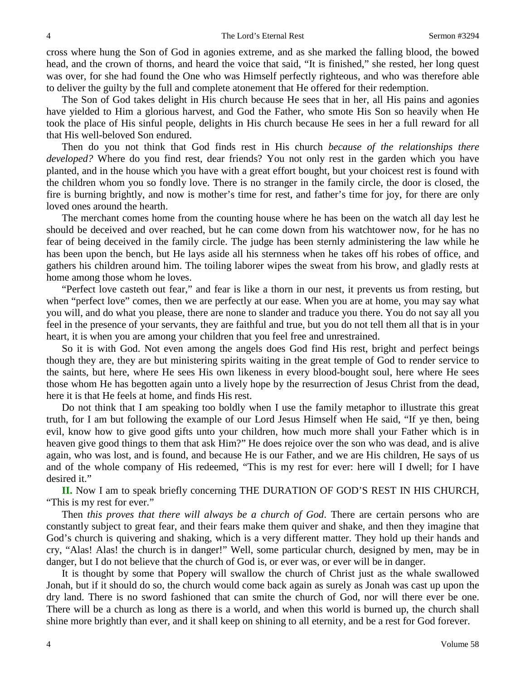cross where hung the Son of God in agonies extreme, and as she marked the falling blood, the bowed head, and the crown of thorns, and heard the voice that said, "It is finished," she rested, her long quest was over, for she had found the One who was Himself perfectly righteous, and who was therefore able to deliver the guilty by the full and complete atonement that He offered for their redemption.

The Son of God takes delight in His church because He sees that in her, all His pains and agonies have yielded to Him a glorious harvest, and God the Father, who smote His Son so heavily when He took the place of His sinful people, delights in His church because He sees in her a full reward for all that His well-beloved Son endured.

Then do you not think that God finds rest in His church *because of the relationships there developed?* Where do you find rest, dear friends? You not only rest in the garden which you have planted, and in the house which you have with a great effort bought, but your choicest rest is found with the children whom you so fondly love. There is no stranger in the family circle, the door is closed, the fire is burning brightly, and now is mother's time for rest, and father's time for joy, for there are only loved ones around the hearth.

The merchant comes home from the counting house where he has been on the watch all day lest he should be deceived and over reached, but he can come down from his watchtower now, for he has no fear of being deceived in the family circle. The judge has been sternly administering the law while he has been upon the bench, but He lays aside all his sternness when he takes off his robes of office, and gathers his children around him. The toiling laborer wipes the sweat from his brow, and gladly rests at home among those whom he loves.

"Perfect love casteth out fear," and fear is like a thorn in our nest, it prevents us from resting, but when "perfect love" comes, then we are perfectly at our ease. When you are at home, you may say what you will, and do what you please, there are none to slander and traduce you there. You do not say all you feel in the presence of your servants, they are faithful and true, but you do not tell them all that is in your heart, it is when you are among your children that you feel free and unrestrained.

So it is with God. Not even among the angels does God find His rest, bright and perfect beings though they are, they are but ministering spirits waiting in the great temple of God to render service to the saints, but here, where He sees His own likeness in every blood-bought soul, here where He sees those whom He has begotten again unto a lively hope by the resurrection of Jesus Christ from the dead, here it is that He feels at home, and finds His rest.

Do not think that I am speaking too boldly when I use the family metaphor to illustrate this great truth, for I am but following the example of our Lord Jesus Himself when He said, "If ye then, being evil, know how to give good gifts unto your children, how much more shall your Father which is in heaven give good things to them that ask Him?" He does rejoice over the son who was dead, and is alive again, who was lost, and is found, and because He is our Father, and we are His children, He says of us and of the whole company of His redeemed, "This is my rest for ever: here will I dwell; for I have desired it."

**II.** Now I am to speak briefly concerning THE DURATION OF GOD'S REST IN HIS CHURCH, "This is my rest for ever."

Then *this proves that there will always be a church of God*. There are certain persons who are constantly subject to great fear, and their fears make them quiver and shake, and then they imagine that God's church is quivering and shaking, which is a very different matter. They hold up their hands and cry, "Alas! Alas! the church is in danger!" Well, some particular church, designed by men, may be in danger, but I do not believe that the church of God is, or ever was, or ever will be in danger.

It is thought by some that Popery will swallow the church of Christ just as the whale swallowed Jonah, but if it should do so, the church would come back again as surely as Jonah was cast up upon the dry land. There is no sword fashioned that can smite the church of God, nor will there ever be one. There will be a church as long as there is a world, and when this world is burned up, the church shall shine more brightly than ever, and it shall keep on shining to all eternity, and be a rest for God forever.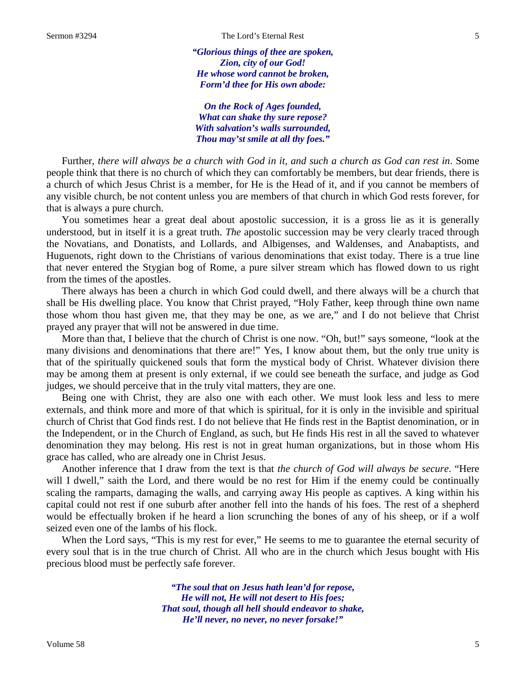*"Glorious things of thee are spoken, Zion, city of our God! He whose word cannot be broken, Form'd thee for His own abode:*

*On the Rock of Ages founded, What can shake thy sure repose? With salvation's walls surrounded, Thou may'st smile at all thy foes."*

Further, *there will always be a church with God in it, and such a church as God can rest in*. Some people think that there is no church of which they can comfortably be members, but dear friends, there is a church of which Jesus Christ is a member, for He is the Head of it, and if you cannot be members of any visible church, be not content unless you are members of that church in which God rests forever, for that is always a pure church.

You sometimes hear a great deal about apostolic succession, it is a gross lie as it is generally understood, but in itself it is a great truth. *The* apostolic succession may be very clearly traced through the Novatians, and Donatists, and Lollards, and Albigenses, and Waldenses, and Anabaptists, and Huguenots, right down to the Christians of various denominations that exist today. There is a true line that never entered the Stygian bog of Rome, a pure silver stream which has flowed down to us right from the times of the apostles.

There always has been a church in which God could dwell, and there always will be a church that shall be His dwelling place. You know that Christ prayed, "Holy Father, keep through thine own name those whom thou hast given me, that they may be one, as we are," and I do not believe that Christ prayed any prayer that will not be answered in due time.

More than that, I believe that the church of Christ is one now. "Oh, but!" says someone, "look at the many divisions and denominations that there are!" Yes, I know about them, but the only true unity is that of the spiritually quickened souls that form the mystical body of Christ. Whatever division there may be among them at present is only external, if we could see beneath the surface, and judge as God judges, we should perceive that in the truly vital matters, they are one.

Being one with Christ, they are also one with each other. We must look less and less to mere externals, and think more and more of that which is spiritual, for it is only in the invisible and spiritual church of Christ that God finds rest. I do not believe that He finds rest in the Baptist denomination, or in the Independent, or in the Church of England, as such, but He finds His rest in all the saved to whatever denomination they may belong. His rest is not in great human organizations, but in those whom His grace has called, who are already one in Christ Jesus.

Another inference that I draw from the text is that *the church of God will always be secure*. "Here will I dwell," saith the Lord, and there would be no rest for Him if the enemy could be continually scaling the ramparts, damaging the walls, and carrying away His people as captives. A king within his capital could not rest if one suburb after another fell into the hands of his foes. The rest of a shepherd would be effectually broken if he heard a lion scrunching the bones of any of his sheep, or if a wolf seized even one of the lambs of his flock.

When the Lord says, "This is my rest for ever," He seems to me to guarantee the eternal security of every soul that is in the true church of Christ. All who are in the church which Jesus bought with His precious blood must be perfectly safe forever.

> *"The soul that on Jesus hath lean'd for repose, He will not, He will not desert to His foes; That soul, though all hell should endeavor to shake, He'll never, no never, no never forsake!"*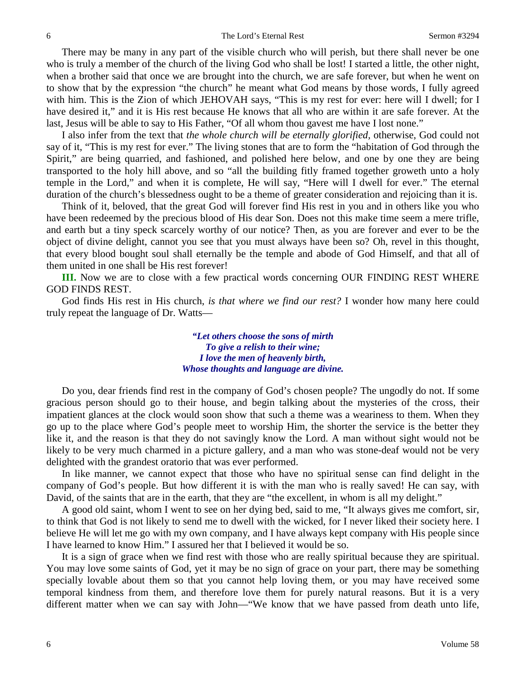There may be many in any part of the visible church who will perish, but there shall never be one who is truly a member of the church of the living God who shall be lost! I started a little, the other night, when a brother said that once we are brought into the church, we are safe forever, but when he went on to show that by the expression "the church" he meant what God means by those words, I fully agreed with him. This is the Zion of which JEHOVAH says, "This is my rest for ever: here will I dwell; for I have desired it," and it is His rest because He knows that all who are within it are safe forever. At the last, Jesus will be able to say to His Father, "Of all whom thou gavest me have I lost none."

I also infer from the text that *the whole church will be eternally glorified,* otherwise, God could not say of it, "This is my rest for ever." The living stones that are to form the "habitation of God through the Spirit," are being quarried, and fashioned, and polished here below, and one by one they are being transported to the holy hill above, and so "all the building fitly framed together groweth unto a holy temple in the Lord," and when it is complete, He will say, "Here will I dwell for ever." The eternal duration of the church's blessedness ought to be a theme of greater consideration and rejoicing than it is.

Think of it, beloved, that the great God will forever find His rest in you and in others like you who have been redeemed by the precious blood of His dear Son. Does not this make time seem a mere trifle, and earth but a tiny speck scarcely worthy of our notice? Then, as you are forever and ever to be the object of divine delight, cannot you see that you must always have been so? Oh, revel in this thought, that every blood bought soul shall eternally be the temple and abode of God Himself, and that all of them united in one shall be His rest forever!

**III.** Now we are to close with a few practical words concerning OUR FINDING REST WHERE GOD FINDS REST.

God finds His rest in His church, *is that where we find our rest?* I wonder how many here could truly repeat the language of Dr. Watts—

> *"Let others choose the sons of mirth To give a relish to their wine; I love the men of heavenly birth, Whose thoughts and language are divine.*

Do you, dear friends find rest in the company of God's chosen people? The ungodly do not. If some gracious person should go to their house, and begin talking about the mysteries of the cross, their impatient glances at the clock would soon show that such a theme was a weariness to them. When they go up to the place where God's people meet to worship Him, the shorter the service is the better they like it, and the reason is that they do not savingly know the Lord. A man without sight would not be likely to be very much charmed in a picture gallery, and a man who was stone-deaf would not be very delighted with the grandest oratorio that was ever performed.

In like manner, we cannot expect that those who have no spiritual sense can find delight in the company of God's people. But how different it is with the man who is really saved! He can say, with David, of the saints that are in the earth, that they are "the excellent, in whom is all my delight."

A good old saint, whom I went to see on her dying bed, said to me, "It always gives me comfort, sir, to think that God is not likely to send me to dwell with the wicked, for I never liked their society here. I believe He will let me go with my own company, and I have always kept company with His people since I have learned to know Him." I assured her that I believed it would be so.

It is a sign of grace when we find rest with those who are really spiritual because they are spiritual. You may love some saints of God, yet it may be no sign of grace on your part, there may be something specially lovable about them so that you cannot help loving them, or you may have received some temporal kindness from them, and therefore love them for purely natural reasons. But it is a very different matter when we can say with John—"We know that we have passed from death unto life,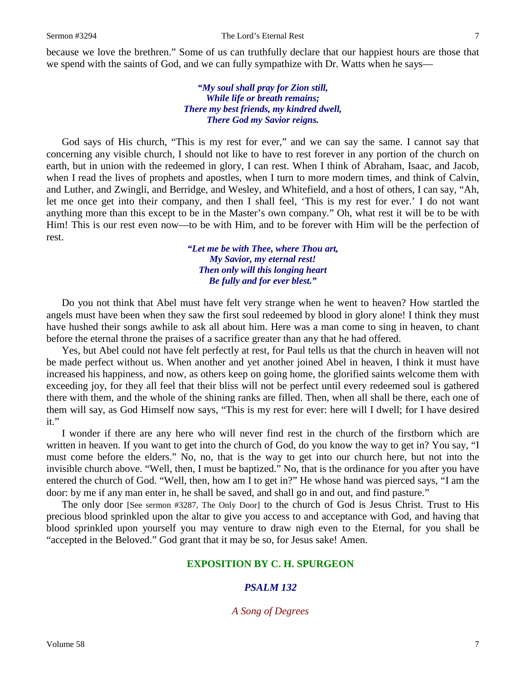because we love the brethren." Some of us can truthfully declare that our happiest hours are those that we spend with the saints of God, and we can fully sympathize with Dr. Watts when he says—

> *"My soul shall pray for Zion still, While life or breath remains; There my best friends, my kindred dwell, There God my Savior reigns.*

God says of His church, "This is my rest for ever," and we can say the same. I cannot say that concerning any visible church, I should not like to have to rest forever in any portion of the church on earth, but in union with the redeemed in glory, I can rest. When I think of Abraham, Isaac, and Jacob, when I read the lives of prophets and apostles, when I turn to more modern times, and think of Calvin, and Luther, and Zwingli, and Berridge, and Wesley, and Whitefield, and a host of others, I can say, "Ah, let me once get into their company, and then I shall feel, 'This is my rest for ever.' I do not want anything more than this except to be in the Master's own company." Oh, what rest it will be to be with Him! This is our rest even now—to be with Him, and to be forever with Him will be the perfection of rest.

> *"Let me be with Thee, where Thou art, My Savior, my eternal rest! Then only will this longing heart Be fully and for ever blest."*

Do you not think that Abel must have felt very strange when he went to heaven? How startled the angels must have been when they saw the first soul redeemed by blood in glory alone! I think they must have hushed their songs awhile to ask all about him. Here was a man come to sing in heaven, to chant before the eternal throne the praises of a sacrifice greater than any that he had offered.

Yes, but Abel could not have felt perfectly at rest, for Paul tells us that the church in heaven will not be made perfect without us. When another and yet another joined Abel in heaven, I think it must have increased his happiness, and now, as others keep on going home, the glorified saints welcome them with exceeding joy, for they all feel that their bliss will not be perfect until every redeemed soul is gathered there with them, and the whole of the shining ranks are filled. Then, when all shall be there, each one of them will say, as God Himself now says, "This is my rest for ever: here will I dwell; for I have desired it."

I wonder if there are any here who will never find rest in the church of the firstborn which are written in heaven. If you want to get into the church of God, do you know the way to get in? You say, "I must come before the elders." No, no, that is the way to get into our church here, but not into the invisible church above. "Well, then, I must be baptized." No, that is the ordinance for you after you have entered the church of God. "Well, then, how am I to get in?" He whose hand was pierced says, "I am the door: by me if any man enter in, he shall be saved, and shall go in and out, and find pasture."

The only door [See sermon #3287, The Only Door] to the church of God is Jesus Christ. Trust to His precious blood sprinkled upon the altar to give you access to and acceptance with God, and having that blood sprinkled upon yourself you may venture to draw nigh even to the Eternal, for you shall be "accepted in the Beloved." God grant that it may be so, for Jesus sake! Amen.

## **EXPOSITION BY C. H. SPURGEON**

# *PSALM 132*

## *A Song of Degrees*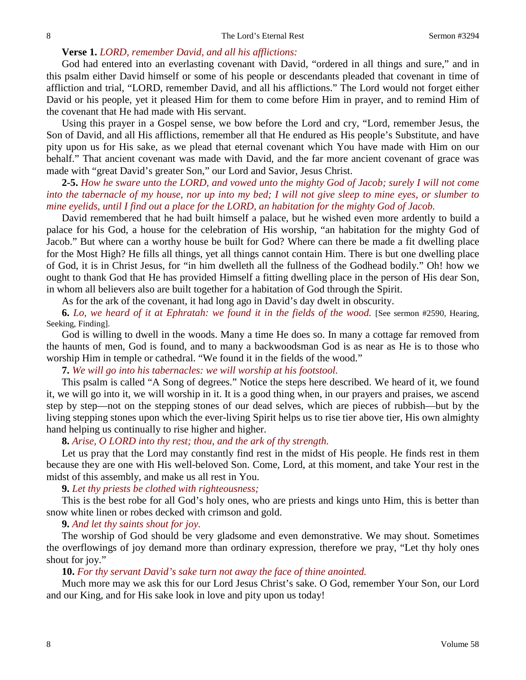# **Verse 1.** *LORD, remember David, and all his afflictions:*

God had entered into an everlasting covenant with David, "ordered in all things and sure," and in this psalm either David himself or some of his people or descendants pleaded that covenant in time of affliction and trial, "LORD, remember David, and all his afflictions." The Lord would not forget either David or his people, yet it pleased Him for them to come before Him in prayer, and to remind Him of the covenant that He had made with His servant.

Using this prayer in a Gospel sense, we bow before the Lord and cry, "Lord, remember Jesus, the Son of David, and all His afflictions, remember all that He endured as His people's Substitute, and have pity upon us for His sake, as we plead that eternal covenant which You have made with Him on our behalf." That ancient covenant was made with David, and the far more ancient covenant of grace was made with "great David's greater Son," our Lord and Savior, Jesus Christ.

**2-5.** *How he sware unto the LORD, and vowed unto the mighty God of Jacob; surely I will not come into the tabernacle of my house, nor up into my bed; I will not give sleep to mine eyes, or slumber to mine eyelids, until I find out a place for the LORD, an habitation for the mighty God of Jacob.*

David remembered that he had built himself a palace, but he wished even more ardently to build a palace for his God, a house for the celebration of His worship, "an habitation for the mighty God of Jacob." But where can a worthy house be built for God? Where can there be made a fit dwelling place for the Most High? He fills all things, yet all things cannot contain Him. There is but one dwelling place of God, it is in Christ Jesus, for "in him dwelleth all the fullness of the Godhead bodily." Oh! how we ought to thank God that He has provided Himself a fitting dwelling place in the person of His dear Son, in whom all believers also are built together for a habitation of God through the Spirit.

As for the ark of the covenant, it had long ago in David's day dwelt in obscurity.

**6.** *Lo, we heard of it at Ephratah: we found it in the fields of the wood.* [See sermon #2590, Hearing, Seeking, Finding].

God is willing to dwell in the woods. Many a time He does so. In many a cottage far removed from the haunts of men, God is found, and to many a backwoodsman God is as near as He is to those who worship Him in temple or cathedral. "We found it in the fields of the wood."

**7.** *We will go into his tabernacles: we will worship at his footstool.*

This psalm is called "A Song of degrees." Notice the steps here described. We heard of it, we found it, we will go into it, we will worship in it. It is a good thing when, in our prayers and praises, we ascend step by step—not on the stepping stones of our dead selves, which are pieces of rubbish—but by the living stepping stones upon which the ever-living Spirit helps us to rise tier above tier, His own almighty hand helping us continually to rise higher and higher.

**8.** *Arise, O LORD into thy rest; thou, and the ark of thy strength.*

Let us pray that the Lord may constantly find rest in the midst of His people. He finds rest in them because they are one with His well-beloved Son. Come, Lord, at this moment, and take Your rest in the midst of this assembly, and make us all rest in You.

**9.** *Let thy priests be clothed with righteousness;*

This is the best robe for all God's holy ones, who are priests and kings unto Him, this is better than snow white linen or robes decked with crimson and gold.

# **9.** *And let thy saints shout for joy.*

The worship of God should be very gladsome and even demonstrative. We may shout. Sometimes the overflowings of joy demand more than ordinary expression, therefore we pray, "Let thy holy ones shout for joy."

### **10.** *For thy servant David's sake turn not away the face of thine anointed.*

Much more may we ask this for our Lord Jesus Christ's sake. O God, remember Your Son, our Lord and our King, and for His sake look in love and pity upon us today!